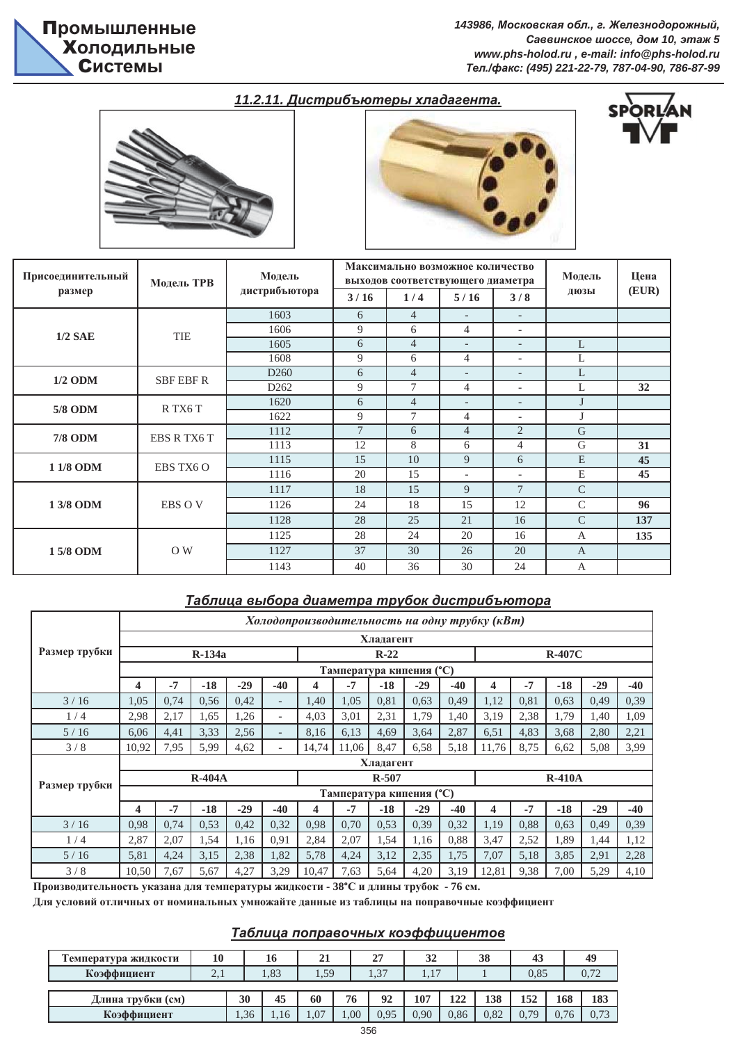$143986$ , Московская обл., г. Железнодорожный,  $Ca$ ввинское шоссе, дом 10, этаж 5 *www.phs-holod.ru , e-mail: info@phs-holod.ru Ɍɟɥ./ɮɚɤɫ: (495) 221-22-79, 787-04-90, 786-87-99*

# 11.2.11. Дистрибъютеры хладагента.





| Присоединительный | Модель ТРВ         | Модель           |                | Максимально возможное количество<br>выходов соответствующего диаметра |                          | Модель                   | Цена          |       |
|-------------------|--------------------|------------------|----------------|-----------------------------------------------------------------------|--------------------------|--------------------------|---------------|-------|
| размер            |                    | дистрибъютора    | 3/16           | 1/4                                                                   | 5/16                     | 3/8                      | ДЮЗЫ          | (EUR) |
|                   |                    | 1603             | 6              | $\overline{4}$                                                        | $\overline{\phantom{a}}$ | $\overline{\phantom{a}}$ |               |       |
| $1/2$ SAE         | <b>TIE</b>         | 1606             | 9              | 6                                                                     | $\overline{4}$           | $\overline{\phantom{a}}$ |               |       |
|                   |                    | 1605             | 6              | $\overline{4}$                                                        | $\overline{\phantom{a}}$ | $\overline{\phantom{a}}$ | L             |       |
|                   |                    | 1608             | 9              | 6                                                                     | $\overline{4}$           | $\overline{\phantom{a}}$ | L             |       |
| $1/2$ ODM         | <b>SBF EBF R</b>   | D <sub>260</sub> | 6              | $\overline{4}$                                                        | $\overline{\phantom{a}}$ | $\overline{\phantom{a}}$ | L             |       |
|                   |                    | D <sub>262</sub> | 9              | $\overline{7}$                                                        | $\overline{4}$           | $\overline{\phantom{a}}$ | L             | 32    |
| 5/8 ODM           | R TX6 T            | 1620             | 6              | $\overline{4}$                                                        | $\overline{\phantom{a}}$ | $\overline{\phantom{a}}$ | J             |       |
|                   |                    | 1622             | 9              | $\overline{7}$                                                        | $\overline{4}$           | $\overline{\phantom{a}}$ | J             |       |
| <b>7/8 ODM</b>    | <b>EBS R TX6 T</b> | 1112             | $\overline{7}$ | 6                                                                     | $\overline{4}$           | $\overline{2}$           | $\mathsf{G}$  |       |
|                   |                    | 1113             | 12             | 8                                                                     | 6                        | $\overline{4}$           | G             | 31    |
| 1 1/8 ODM         | EBS TX6 O          | 1115             | 15             | 10                                                                    | 9                        | 6                        | E             | 45    |
|                   |                    | 1116             | 20             | 15                                                                    | $\overline{\phantom{a}}$ | $\overline{\phantom{a}}$ | E             | 45    |
|                   |                    | 1117             | 18             | 15                                                                    | 9                        | $\overline{7}$           | $\mathcal{C}$ |       |
| 1 3/8 ODM         | <b>EBS OV</b>      | 1126             | 24             | 18                                                                    | 15                       | 12                       | $\mathcal{C}$ | 96    |
|                   |                    | 1128             | 28             | 25                                                                    | 21                       | 16                       | $\mathcal{C}$ | 137   |
|                   |                    | 1125             | 28             | 24                                                                    | 20                       | 16                       | $\mathbf{A}$  | 135   |
| 15/8 ODM          | O W                | 1127             | 37             | 30                                                                    | 26                       | 20                       | $\mathbf{A}$  |       |
|                   |                    | 1143             | 40             | 36                                                                    | 30                       | 24                       | A             |       |

# **Таблица выбора диаметра трубок дистрибъютора**

|               |                                             | Холодопроизводительность на одну трубку (кВт) |          |       |                          |       |       |           |                          |       |       |      |          |       |       |
|---------------|---------------------------------------------|-----------------------------------------------|----------|-------|--------------------------|-------|-------|-----------|--------------------------|-------|-------|------|----------|-------|-------|
|               | Хладагент<br>$R-134a$<br>$R-22$<br>$R-407C$ |                                               |          |       |                          |       |       |           |                          |       |       |      |          |       |       |
| Размер трубки |                                             |                                               |          |       |                          |       |       |           |                          |       |       |      |          |       |       |
|               |                                             |                                               |          |       |                          |       |       |           | Тампература кипения (°С) |       |       |      |          |       |       |
|               | 4                                           | $-7$                                          | $-18$    | $-29$ | $-40$                    | 4     | $-7$  | $-18$     | $-29$                    | $-40$ | 4     | $-7$ | $-18$    | $-29$ | $-40$ |
| 3/16          | 1.05                                        | 0.74                                          | 0,56     | 0,42  | $\overline{\phantom{0}}$ | 1.40  | 1,05  | 0,81      | 0,63                     | 0,49  | 1,12  | 0,81 | 0.63     | 0,49  | 0.39  |
| 1/4           | 2,98                                        | 2,17                                          | 1,65     | 1,26  | $\overline{\phantom{0}}$ | 4,03  | 3,01  | 2,31      | 1,79                     | 1,40  | 3,19  | 2,38 | 1,79     | 1,40  | 1,09  |
| 5/16          | 6.06                                        | 4,41                                          | 3,33     | 2,56  | $\overline{\phantom{a}}$ | 8,16  | 6,13  | 4,69      | 3,64                     | 2,87  | 6,51  | 4,83 | 3,68     | 2,80  | 2,21  |
| 3/8           | 10,92                                       | 7,95                                          | 5,99     | 4,62  | $\overline{\phantom{0}}$ | 14,74 | 11,06 | 8,47      | 6,58                     | 5,18  | 11,76 | 8,75 | 6,62     | 5,08  | 3,99  |
|               |                                             |                                               |          |       |                          |       |       | Хладагент |                          |       |       |      |          |       |       |
| Размер трубки |                                             |                                               | $R-404A$ |       |                          |       |       | $R-507$   |                          |       |       |      | $R-410A$ |       |       |
|               |                                             |                                               |          |       |                          |       |       |           | Тампература кипения (°С) |       |       |      |          |       |       |
|               | 4                                           | $-7$                                          | $-18$    | $-29$ | $-40$                    | 4     | $-7$  | $-18$     | $-29$                    | $-40$ | 4     | $-7$ | $-18$    | $-29$ | $-40$ |
| 3/16          | 0.98                                        | 0,74                                          | 0,53     | 0,42  | 0,32                     | 0.98  | 0,70  | 0.53      | 0.39                     | 0,32  | 1,19  | 0,88 | 0,63     | 0,49  | 0,39  |
| 1/4           | 2,87                                        | 2,07                                          | 1,54     | 1,16  | 0.91                     | 2,84  | 2,07  | 1,54      | 1,16                     | 0.88  | 3,47  | 2,52 | 1,89     | 1,44  | 1,12  |
| 5/16          | 5,81                                        | 4,24                                          | 3,15     | 2,38  | 1,82                     | 5,78  | 4,24  | 3,12      | 2,35                     | 1,75  | 7,07  | 5,18 | 3,85     | 2,91  | 2,28  |
| 3/8           | 10,50                                       | 7,67                                          | 5,67     | 4,27  | 3,29                     | 10,47 | 7,63  | 5,64      | 4,20                     | 3,19  | 12,81 | 9,38 | 7,00     | 5,29  | 4,10  |

Производительность указана для температуры жидкости - 38°С и длины трубок - 76 см.

Для условий отличных от номинальных умножайте данные из таблицы на поправочные коэффициент

## **Таблица поправочных коэффициентов**

| Температура жидкости | 10  |     | 16   | 21   |      | 27   | 32   |      | 38   | 43   |      | 49   |
|----------------------|-----|-----|------|------|------|------|------|------|------|------|------|------|
| Коэффициент          | 2.1 |     | 1.83 | 1,59 |      | 1,37 | 1.1  |      |      | 0.85 |      |      |
|                      |     |     |      |      |      |      |      |      |      |      |      |      |
| Длина трубки (см)    |     | 30  | 45   | 60   | 76   | 92   | 107  | 122  | 138  | 152  | 168  | 183  |
| Коэффициент          |     | .36 | 1.16 | 1.07 | 00.1 | 0.95 | 0.90 | 0,86 | 0,82 | 0.79 | 0.76 | 0.73 |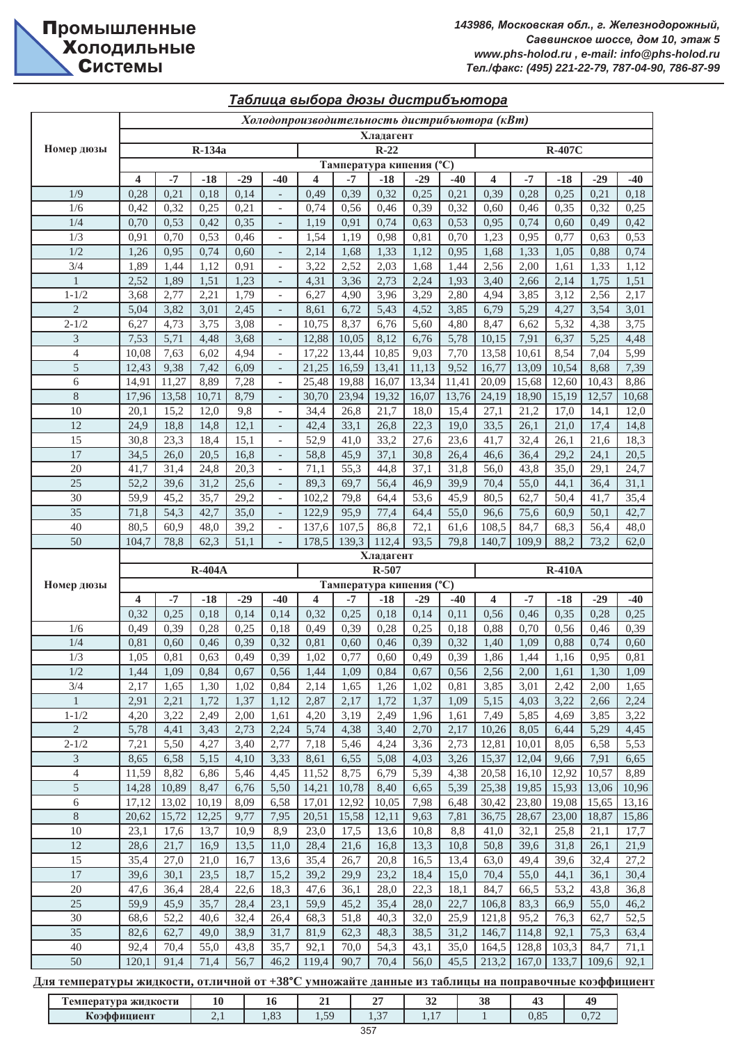|                          |              |               |               |              |                          |                         |               |              |                                   |              | Холодопроизводительность дистрибъютора (кВт) |               |               |               |               |
|--------------------------|--------------|---------------|---------------|--------------|--------------------------|-------------------------|---------------|--------------|-----------------------------------|--------------|----------------------------------------------|---------------|---------------|---------------|---------------|
|                          |              |               |               |              |                          |                         |               | Хладагент    |                                   |              |                                              |               |               |               |               |
| Номер дюзы               |              |               | R-134a        |              |                          |                         |               | $R-22$       |                                   |              |                                              |               | <b>R-407C</b> |               |               |
|                          |              |               |               |              |                          |                         |               |              | Тампература кипения (°С)          |              |                                              |               |               |               |               |
|                          | 4            | $-7$          | $-18$         | $-29$        | $-40$                    | 4                       | $-7$          | $-18$        | $-29$                             | $-40$        | 4                                            | $-7$          | $-18$         | $-29$         | $-40$         |
| 1/9<br>1/6               | 0,28         | 0,21<br>0,32  | 0,18<br>0,25  | 0,14         |                          | 0,49                    | 0,39          | 0,32         | 0,25                              | 0,21<br>0,32 | 0,39                                         | 0,28          | 0,25<br>0,35  | 0,21          | 0,18<br>0,25  |
| $1/4\,$                  | 0,42<br>0,70 | 0,53          | 0,42          | 0,21<br>0,35 | $\overline{\phantom{0}}$ | 0,74<br>1,19            | 0,56<br>0,91  | 0,46<br>0,74 | 0,39<br>0,63                      | 0,53         | 0,60<br>0,95                                 | 0,46<br>0,74  | 0,60          | 0,32<br>0,49  | 0,42          |
| 1/3                      | 0,91         | 0,70          | 0,53          | 0,46         | $\overline{\phantom{0}}$ | 1,54                    | 1,19          | 0,98         | 0,81                              | 0,70         | 1,23                                         | 0,95          | 0,77          | 0,63          | 0,53          |
| 1/2                      | 1,26         | 0,95          | 0,74          | 0,60         | $\overline{a}$           | 2,14                    | 1,68          | 1,33         | 1,12                              | 0,95         | 1,68                                         | 1,33          | 1,05          | 0,88          | 0,74          |
| $\overline{\frac{3}{4}}$ | 1,89         | 1,44          | 1,12          | 0,91         | $\blacksquare$           | 3,22                    | 2,52          | 2,03         | 1,68                              | 1,44         | 2,56                                         | 2,00          | 1,61          | 1,33          | 1,12          |
| $\mathbf{1}$             | 2,52         | 1,89          | 1,51          | 1,23         | $\overline{a}$           | 4,31                    | 3,36          | 2,73         | 2,24                              | 1,93         | 3,40                                         | 2,66          | 2,14          | 1,75          | 1,51          |
| $1 - 1/2$                | 3,68         | 2,77          | 2,21          | 1,79         | $\overline{\phantom{a}}$ | 6,27                    | 4,90          | 3,96         | 3,29                              | 2,80         | 4,94                                         | 3,85          | 3,12          | 2,56          | 2,17          |
| $\overline{2}$           | 5,04         | 3,82          | 3,01          | 2,45         | $\overline{\phantom{a}}$ | 8,61                    | 6,72          | 5,43         | 4,52                              | 3,85         | 6,79                                         | 5,29          | 4,27          | 3,54          | 3,01          |
| $2 - 1/2$                | 6,27         | 4,73          | 3,75          | 3,08         | $\overline{\phantom{a}}$ | 10,75                   | 8,37          | 6,76         | 5,60                              | 4,80         | 8,47                                         | 6,62          | 5,32          | 4,38          | 3,75          |
| 3                        | 7,53         | 5,71          | 4,48          | 3,68         | $\overline{\phantom{a}}$ | 12,88                   | 10,05         | 8,12         | 6,76                              | 5,78         | 10,15                                        | 7,91          | 6,37          | 5,25          | 4,48          |
| $\overline{4}$           | 10,08        | 7,63          | 6,02          | 4,94         | $\frac{1}{2}$            | 17,22                   | 13,44         | 10,85        | 9,03                              | 7,70         | 13,58                                        | 10,61         | 8,54          | 7,04          | 5,99          |
| 5                        | 12,43        | 9,38          | 7,42          | 6,09         | $\overline{\phantom{a}}$ | 21,25                   | 16,59         | 13,41        | 11,13                             | 9,52         | 16,77                                        | 13,09         | 10,54         | 8,68          | 7,39          |
| 6                        | 14,91        | 11,27         | 8,89          | 7,28         | $\overline{\phantom{a}}$ | 25,48                   | 19,88         | 16,07        | 13,34                             | 11,41        | 20,09                                        | 15,68         | 12,60         | 10,43         | 8,86          |
| $\,8$                    | 17,96        | 13,58         | 10,71         | 8,79         | $\overline{\phantom{0}}$ | 30,70                   | 23,94         | 19,32        | 16,07                             | 13,76        | 24,19                                        | 18,90         | 15,19         | 12,57         | 10,68         |
| 10                       | 20,1         | 15,2          | 12,0          | 9,8          | $\overline{\phantom{a}}$ | 34,4                    | 26,8          | 21,7         | 18,0                              | 15,4         | 27,1                                         | 21,2          | 17,0          | 14,1          | 12,0          |
| 12                       | 24,9         | 18,8          | 14,8          | 12,1         | $\overline{\phantom{0}}$ | 42,4                    | 33,1          | 26,8         | 22,3                              | 19,0         | 33,5                                         | 26,1          | 21,0          | 17,4          | 14,8          |
| 15                       | 30,8         | 23,3          | 18,4          | 15,1         | $\overline{\phantom{a}}$ | 52,9                    | 41,0          | 33,2         | 27,6                              | 23,6         | 41,7                                         | 32,4          | 26,1          | 21,6          | 18,3          |
| $\overline{17}$          | 34,5         | 26,0          | 20,5          | 16,8         | $\overline{\phantom{a}}$ | 58,8                    | 45,9          | 37,1         | 30,8                              | 26,4         | 46,6                                         | 36,4          | 29,2          | 24,1          | 20,5          |
| 20<br>$\overline{25}$    | 41,7         | 31,4          | 24,8          | 20,3         | $\qquad \qquad -$        | 71,1                    | 55,3          | 44,8         | 37,1                              | 31,8         | 56,0                                         | 43,8          | 35,0          | 29,1          | 24,7          |
| 30                       | 52,2<br>59,9 | 39,6<br>45,2  | 31,2<br>35,7  | 25,6<br>29,2 | $\overline{\phantom{a}}$ | 89,3<br>102,2           | 69,7<br>79,8  | 56,4<br>64,4 | 46,9<br>53,6                      | 39,9<br>45,9 | 70,4<br>80,5                                 | 55,0<br>62,7  | 44,1<br>50,4  | 36,4<br>41,7  | 31,1<br>35,4  |
| $\overline{35}$          | 71,8         | 54,3          | 42,7          | 35,0         | $\overline{\phantom{a}}$ | 122,9                   | 95,9          | 77,4         | 64,4                              | 55,0         | 96,6                                         | 75,6          | 60,9          | 50,1          | 42,7          |
| 40                       | 80,5         | 60,9          | 48,0          | 39,2         | $\overline{\phantom{0}}$ | 137,6                   | 107,5         | 86,8         | 72,1                              | 61,6         | 108,5                                        | 84,7          | 68,3          | 56,4          | 48,0          |
| $\overline{50}$          | 104,7        | 78,8          | 62,3          | 51,1         | $\overline{a}$           | 178,5                   | 139,3         | 112,4        | 93,5                              | 79,8         | 140,7                                        | 109,9         | 88,2          | 73,2          | 62,0          |
|                          |              |               |               |              |                          |                         |               |              |                                   |              |                                              |               |               |               |               |
|                          |              |               |               |              |                          |                         |               |              |                                   |              |                                              |               |               |               |               |
|                          |              |               |               |              |                          |                         |               | Хладагент    |                                   |              |                                              |               |               |               |               |
| Номер дюзы               |              |               | <b>R-404A</b> |              |                          |                         |               | R-507        |                                   |              |                                              |               | <b>R-410A</b> |               |               |
|                          | 4            | $-7$          | $-18$         | $-29$        | $-40$                    | $\overline{\mathbf{4}}$ | $-7$          | $-18$        | Тампература кипения (°С)<br>$-29$ | $-40$        | $\overline{\mathbf{4}}$                      | $-7$          | $-18$         | $-29$         | $-40$         |
|                          | 0,32         | 0,25          | 0,18          | 0,14         | 0,14                     | 0,32                    | 0,25          | 0,18         | 0,14                              | 0,11         | 0,56                                         | 0,46          | 0,35          | 0,28          | 0,25          |
| 1/6                      | 0,49         | 0,39          | 0,28          | 0,25         | 0,18                     | 0,49                    | 0,39          | 0,28         | 0,25                              | 0,18         | 0,88                                         | 0,70          | 0,56          | 0,46          | 0,39          |
| 1/4                      | 0,81         | 0,60          | 0,46          | 0,39         | 0,32                     | 0,81                    | 0,60          | 0,46         | 0,39                              | 0,32         | 1,40                                         | 1,09          | 0,88          | 0,74          | 0,60          |
| 1/3                      | 1,05         | 0,81          | 0,63          | 0,49         | 0,39                     | 1,02                    | 0,77          | 0,60         | 0,49                              | 0,39         | 1,86                                         | 1,44          | 1,16          | 0,95          | 0,81          |
| 1/2                      | 1,44         | 1,09          | 0,84          | 0,67         | 0,56                     | 1,44                    | 1,09          | 0,84         | 0,67                              | 0,56         | 2,56                                         | 2,00          | 1,61          | 1,30          | 1,09          |
| 3/4                      | 2,17         | 1,65          | 1,30          | 1,02         | 0,84                     | 2,14                    | 1,65          | 1,26         | 1,02                              | 0,81         | 3,85                                         | 3,01          | 2,42          | 2,00          | 1,65          |
| $\mathbf{1}$             | 2,91         | 2,21          | 1,72          | 1,37         | 1,12                     | 2,87                    | 2,17          | 1,72         | 1,37                              | 1,09         | 5,15                                         | 4,03          | 3,22          | 2,66          | 2,24          |
| $1 - 1/2$                | 4,20         | 3,22          | 2,49          | 2,00         | 1,61                     | 4,20                    | 3,19          | 2,49         | 1,96                              | 1,61         | 7,49                                         | 5,85          | 4,69          | 3,85          | 3,22          |
| $\overline{c}$           | 5,78         | 4,41          | 3,43          | 2,73         | 2,24                     | 5,74                    | 4,38          | 3,40         | 2,70                              | 2,17         | 10,26                                        | 8,05          | 6,44          | 5,29          | 4,45          |
| $2 - 1/2$                | 7,21         | 5,50          | 4,27          | 3,40         | 2,77                     | 7,18                    | 5,46          | 4,24         | 3,36                              | 2,73         | 12,81                                        | 10,01         | 8,05          | 6,58          | 5,53          |
| 3                        | 8,65         | 6,58          | 5,15          | 4,10         | 3,33                     | 8,61                    | 6,55          | 5,08         | 4,03                              | 3,26         | 15,37                                        | 12,04         | 9,66          | 7,91          | 6,65          |
| $\overline{\mathcal{L}}$ | 11,59        | 8,82          | 6,86          | 5,46         | 4,45                     | 11,52                   | 8,75          | 6,79         | 5,39                              | 4,38         | 20,58                                        | 16,10         | 12,92         | 10,57         | 8,89          |
| 5                        | 14,28        | 10,89         | 8,47          | 6,76         | 5,50                     | 14,21                   | 10,78         | 8,40         | 6,65                              | 5,39         | 25,38                                        | 19,85         | 15,93         | 13,06         | 10,96         |
| 6                        | 17,12        | 13,02         | 10,19         | 8,09         | 6,58                     | 17,01                   | 12,92         | 10,05        | 7,98                              | 6,48         | 30,42                                        | 23,80         | 19,08         | 15,65         | 13,16         |
| $8\,$<br>$10\,$          | 20,62        | 15,72<br>17,6 | 12,25<br>13,7 | 9,77<br>10,9 | 7,95                     | 20,51                   | 15,58<br>17,5 | 12,11        | 9,63                              | 7,81         | 36,75<br>41,0                                | 28,67<br>32,1 | 23,00         | 18,87<br>21,1 | 15,86<br>17,7 |
| $\overline{12}$          | 23,1<br>28,6 | 21,7          | 16,9          | 13,5         | 8,9<br>11,0              | 23,0<br>28,4            | 21,6          | 13,6<br>16,8 | 10,8<br>13,3                      | 8,8<br>10,8  | 50,8                                         | 39,6          | 25,8<br>31,8  | 26,1          | 21,9          |
| 15                       | 35,4         | 27,0          | 21,0          | 16,7         | 13,6                     | 35,4                    | 26,7          | 20,8         | 16,5                              | 13,4         | 63,0                                         | 49,4          | 39,6          | 32,4          | 27,2          |
| 17                       | 39,6         | 30,1          | 23,5          | 18,7         | 15,2                     | 39,2                    | 29,9          | 23,2         | 18,4                              | 15,0         | 70,4                                         | 55,0          | 44,1          | 36,1          | 30,4          |
| 20                       | 47,6         | 36,4          | 28,4          | 22,6         | 18,3                     | 47,6                    | 36,1          | 28,0         | 22,3                              | 18,1         | 84,7                                         | 66,5          | 53,2          | 43,8          | 36,8          |
| 25                       | 59,9         | 45,9          | 35,7          | 28,4         | 23,1                     | 59,9                    | 45,2          | 35,4         | 28,0                              | 22,7         | 106,8                                        | 83,3          | 66,9          | 55,0          | 46,2          |
| 30                       | 68,6         | 52,2          | 40,6          | 32,4         | 26,4                     | 68,3                    | 51,8          | 40,3         | 32,0                              | 25,9         | 121,8                                        | 95,2          | 76,3          | 62,7          | 52,5          |
| 35                       | 82,6         | 62,7          | 49,0          | 38,9         | 31,7                     | 81,9                    | 62,3          | 48,3         | 38,5                              | 31,2         | 146,7                                        | 114,8         | 92,1          | 75,3          | 63,4          |
| 40                       | 92,4         | 70,4          | 55,0          | 43,8         | 35,7                     | 92,1                    | 70,0          | 54,3         | 43,1                              | 35,0         | 164,5                                        | 128,8         | 103,3         | 84,7          | 71,1          |
| 50                       | 120,1        | 91,4          | 71,4          | 56,7         | 46,2                     | 119,4                   | 90,7          | 70,4         | 56,0                              | 45,5         | 213,2                                        | 167,0         | 133,7         | 109,6         | 92,1          |

# $Ta6$ лица выбора дюзы дистрибъютора

| <b>CEO</b><br><b>ЖИДКОСТИ</b><br>емпература<br>- МИ. | . .<br>ΨU                | 10                   | --          | --<br>-         | $\sim$<br>◡ | JО | т.                           | Æ              |
|------------------------------------------------------|--------------------------|----------------------|-------------|-----------------|-------------|----|------------------------------|----------------|
| T <sub>0</sub><br>лпиент<br>$\Lambda$ 0300 $\mu$     | $\overline{\phantom{m}}$ | $\Omega$<br>$\sim 0$ | 50<br>. . J | $\sim$<br>. . J | -           |    | $\sim$ $\sim$ $\sim$<br>ບເບມ | $-1$<br>$\sim$ |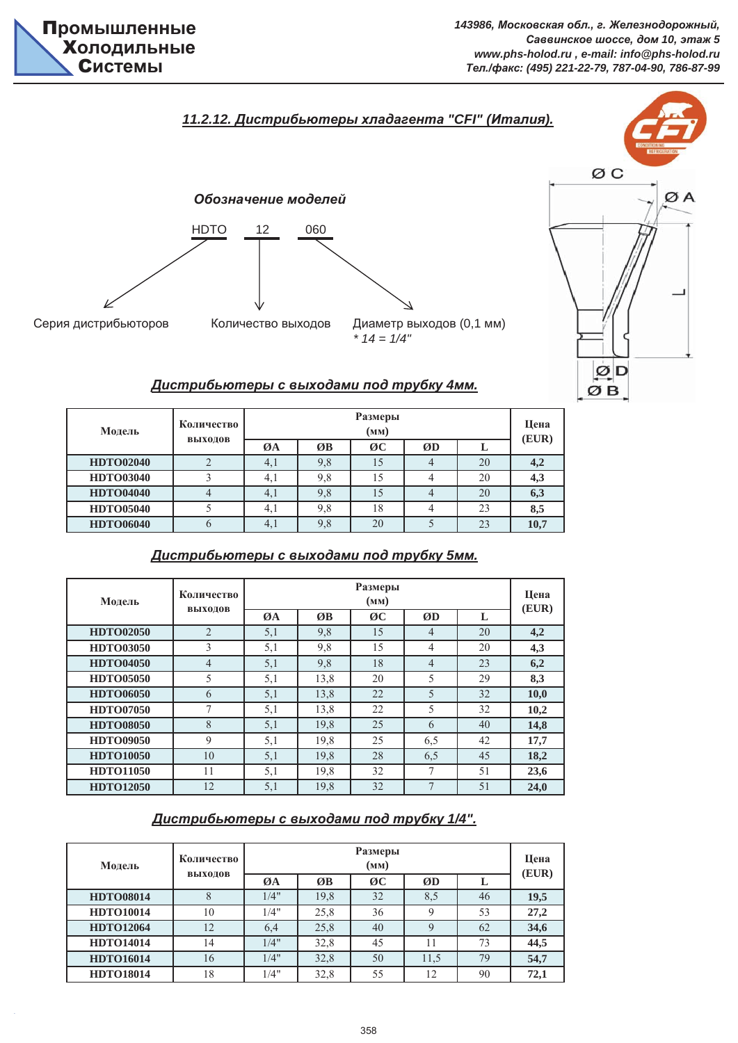

ØD ØB



# *Ⱦɢɫɬɪɢɛɶɸɬɟɪɵ ɫ ɜɵɯɨɞɚɦɢ ɩɨɞ ɬɪɭɛɤɭ 4ɦɦ.*

| Модель           | Количество |     | Цена<br>(EUR) |    |    |    |      |
|------------------|------------|-----|---------------|----|----|----|------|
|                  | выходов    | ØA  | ØB            | ØC | ØD |    |      |
| <b>HDTO02040</b> |            | 4,1 | 9,8           |    |    | 20 | 4,2  |
| <b>HDTO03040</b> |            | 4,1 | 9,8           | 15 |    | 20 | 4,3  |
| <b>HDTO04040</b> |            | 4,1 | 9,8           |    |    | 20 | 6,3  |
| <b>HDTO05040</b> |            | 4,1 | 9,8           | 18 | 4  | 23 | 8,5  |
| <b>HDTO06040</b> |            | 4,1 | 9,8           | 20 |    | 23 | 10,7 |

#### **23,6 HDTO12050** 12 5,1 19,8 32 7 51 **24,0** 45 **18,2 HDTO11050** 11 5,1 19,8 32 7 51 **HDTO10050** 10 5,1 19,8 28 6,5 **HDTO09050** 9 5,1 19,8 25 6,5 42 **17,7 10,2 HDTO08050** 8 5,1 19,8 25 6 40 **14,8** 32 **10,0 HDTO07050** 7 5,1 13,8 22 5 32 **HDTO06050** 6 5,1 13,8 22 5 **HDTO05050** 5 5,1 13,8 20 5 29 **8,3 4,3 HDTO04050** 4 5,1 9,8 18 4 23 **6,2** 20 **4,2 HDTO03050** 3 5,1 9,8 15 4 20 **ØB ØC ØD L HDTO02050** 2 5,1 9,8 15 4 Модель **Количество ВЫХОЛОВ Размеры EXECUTE:**<br>  $\frac{1}{\sqrt{N}}$  $\overline{\emptyset A}$   $\overline{\emptyset B}$   $\overline{\emptyset C}$   $\overline{\emptyset D}$  **L**  $(\text{EUR})$

### *Ⱦɢɫɬɪɢɛɶɸɬɟɪɵ ɫ ɜɵɯɨɞɚɦɢ ɩɨɞ ɬɪɭɛɤɭ 5ɦɦ.*

# *Ⱦɢɫɬɪɢɛɶɸɬɟɪɵ ɫ ɜɵɯɨɞɚɦɢ ɩɨɞ ɬɪɭɛɤɭ 1/4".*

| Модель           | Количество |      | Размеры<br>(MM) |    |      |    |       |  |  |
|------------------|------------|------|-----------------|----|------|----|-------|--|--|
|                  | выходов    | ØA   | ØB              | ØC | ØD   |    | (EUR) |  |  |
| <b>HDTO08014</b> |            | 1/4" | 19,8            | 32 | 8,5  | 46 | 19,5  |  |  |
| <b>HDTO10014</b> | 10         | 1/4" | 25,8            | 36 | 9    | 53 | 27,2  |  |  |
| <b>HDTO12064</b> | 12         | 6,4  | 25,8            | 40 | 9    | 62 | 34,6  |  |  |
| <b>HDTO14014</b> | 14         | 1/4" | 32,8            | 45 | 11   | 73 | 44,5  |  |  |
| <b>HDTO16014</b> | 16         | 1/4" | 32,8            | 50 | 11,5 | 79 | 54,7  |  |  |
| <b>HDTO18014</b> | 18         | 1/4" | 32,8            | 55 | 12   | 90 | 72,1  |  |  |